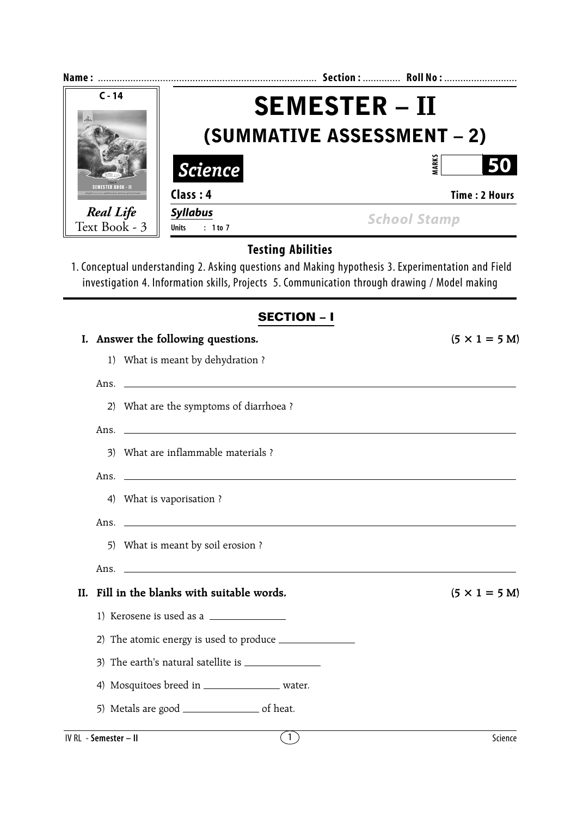| Name:                             |                                             | Section :  Roll No :                                                                                                                                                                                |  |  |  |
|-----------------------------------|---------------------------------------------|-----------------------------------------------------------------------------------------------------------------------------------------------------------------------------------------------------|--|--|--|
| $C - 14$<br>20.                   |                                             | <b>SEMESTER – II</b>                                                                                                                                                                                |  |  |  |
|                                   | <b>(SUMMATIVE ASSESSMENT – 2)</b>           |                                                                                                                                                                                                     |  |  |  |
|                                   | <i>Science</i>                              | <b>MARKS</b><br>50                                                                                                                                                                                  |  |  |  |
| SEMESTER BOOK - I                 | Class: 4                                    | Time: 2 Hours                                                                                                                                                                                       |  |  |  |
| <b>Real Life</b><br>Text Book - 3 | <b>Syllabus</b><br>: 1 to 7<br><b>Units</b> | <b>School Stamp</b>                                                                                                                                                                                 |  |  |  |
|                                   | <b>Testing Abilities</b>                    | 1. Conceptual understanding 2. Asking questions and Making hypothesis 3. Experimentation and Field<br>investigation 4. Information skills, Projects 5. Communication through drawing / Model making |  |  |  |
|                                   |                                             | <b>SECTION - I</b>                                                                                                                                                                                  |  |  |  |
|                                   | I. Answer the following questions.          | $(5 \times 1 = 5 M)$                                                                                                                                                                                |  |  |  |
| 1)                                | What is meant by dehydration?               |                                                                                                                                                                                                     |  |  |  |
| Ans.                              |                                             |                                                                                                                                                                                                     |  |  |  |
| 2)                                | What are the symptoms of diarrhoea?         |                                                                                                                                                                                                     |  |  |  |

|    | 3) What are inflammable materials ? |
|----|-------------------------------------|
|    | Ans.                                |
| 4) | What is vaporisation ?              |
|    | Ans.                                |
|    | 5) What is meant by soil erosion ?  |
|    | Ans.                                |
|    |                                     |

**II.** Fill in the blanks with suitable words. ( $5 \times 1 = 5$  M)

1) Kerosene is used as a

2) The atomic energy is used to produce

3) The earth's natural satellite is

4) Mosquitoes breed in \_\_\_\_\_\_\_\_\_\_\_\_\_\_\_\_\_\_ water.

5) Metals are good \_\_\_\_\_\_\_\_\_\_\_\_\_\_\_\_\_\_\_\_\_\_ of heat.

**IV RL** - **Semester – II** Science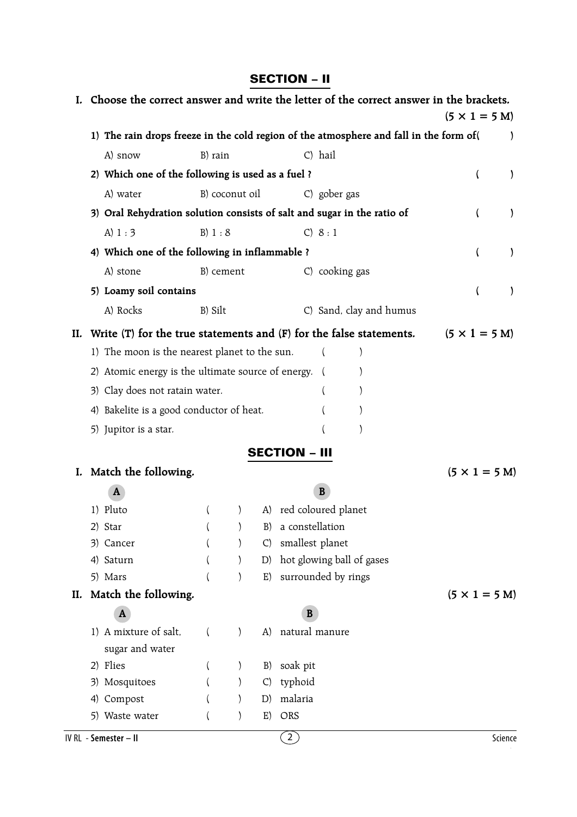## **SECTION – II**

|     |     |                                                    |          |                |              | I. Choose the correct answer and write the letter of the correct answer in the brackets. | $(5 \times 1 = 5 \text{ M})$ |               |
|-----|-----|----------------------------------------------------|----------|----------------|--------------|------------------------------------------------------------------------------------------|------------------------------|---------------|
|     |     |                                                    |          |                |              | 1) The rain drops freeze in the cold region of the atmosphere and fall in the form of (  |                              |               |
|     |     | A) snow                                            | B) rain  |                |              | C) hail                                                                                  |                              |               |
|     |     | 2) Which one of the following is used as a fuel ?  |          |                |              |                                                                                          | <sup>(</sup>                 | $\mathcal{E}$ |
|     |     | A) water                                           |          | B) coconut oil |              | C) gober gas                                                                             |                              |               |
|     |     |                                                    |          |                |              | 3) Oral Rehydration solution consists of salt and sugar in the ratio of                  |                              | $\mathcal{E}$ |
|     |     | A) $1:3$                                           | B) 1 : 8 |                |              | C) 8:1                                                                                   |                              |               |
|     |     | 4) Which one of the following in inflammable ?     |          |                |              |                                                                                          |                              | $\mathcal{E}$ |
|     |     | A) stone                                           |          | B) cement      |              | C) cooking gas                                                                           |                              |               |
|     |     | 5) Loamy soil contains                             |          |                |              |                                                                                          |                              | )             |
|     |     | A) Rocks                                           | B) Silt  |                |              | C) Sand, clay and humus                                                                  |                              |               |
| II. |     |                                                    |          |                |              | Write $(T)$ for the true statements and $(F)$ for the false statements.                  | $(5 \times 1 = 5 M)$         |               |
|     |     | 1) The moon is the nearest planet to the sun.      |          |                |              |                                                                                          |                              |               |
|     |     | 2) Atomic energy is the ultimate source of energy. |          |                |              |                                                                                          |                              |               |
|     |     | 3) Clay does not ratain water.                     |          |                |              |                                                                                          |                              |               |
|     |     | 4) Bakelite is a good conductor of heat.           |          |                |              |                                                                                          |                              |               |
|     |     | 5) Jupitor is a star.                              |          |                |              |                                                                                          |                              |               |
|     |     |                                                    |          |                |              |                                                                                          |                              |               |
|     |     |                                                    |          |                |              | <b>SECTION - III</b>                                                                     |                              |               |
| I.  |     | Match the following.                               |          |                |              |                                                                                          | $(5 \times 1 = 5 \text{ M})$ |               |
|     |     | A                                                  |          |                |              | B                                                                                        |                              |               |
|     |     | 1) Pluto<br>2) Star                                |          |                | B)           | A) red coloured planet<br>a constellation                                                |                              |               |
|     |     | 3) Cancer                                          |          |                | C)           | smallest planet                                                                          |                              |               |
|     |     | 4) Saturn                                          |          |                | D)           | hot glowing ball of gases                                                                |                              |               |
|     |     | 5) Mars                                            |          |                | E)           | surrounded by rings                                                                      |                              |               |
| II. |     | Match the following.                               |          |                |              |                                                                                          | $(5 \times 1 = 5$ M)         |               |
|     |     | A                                                  |          |                |              | B                                                                                        |                              |               |
|     |     | 1) A mixture of salt,                              | $\left($ | $\mathcal{L}$  | $\mathbf{A}$ | natural manure                                                                           |                              |               |
|     |     | sugar and water                                    |          |                |              |                                                                                          |                              |               |
|     |     | 2) Flies                                           |          |                | B)           | soak pit                                                                                 |                              |               |
|     | 3). | Mosquitoes                                         |          |                | C)           | typhoid                                                                                  |                              |               |
|     | 4)  | Compost                                            |          |                | D)           | malaria                                                                                  |                              |               |
|     |     | 5) Waste water                                     |          |                | E)           | ORS                                                                                      |                              |               |
|     |     | IV RL - Semester - II                              |          |                |              | $\overline{2}$                                                                           | Science                      |               |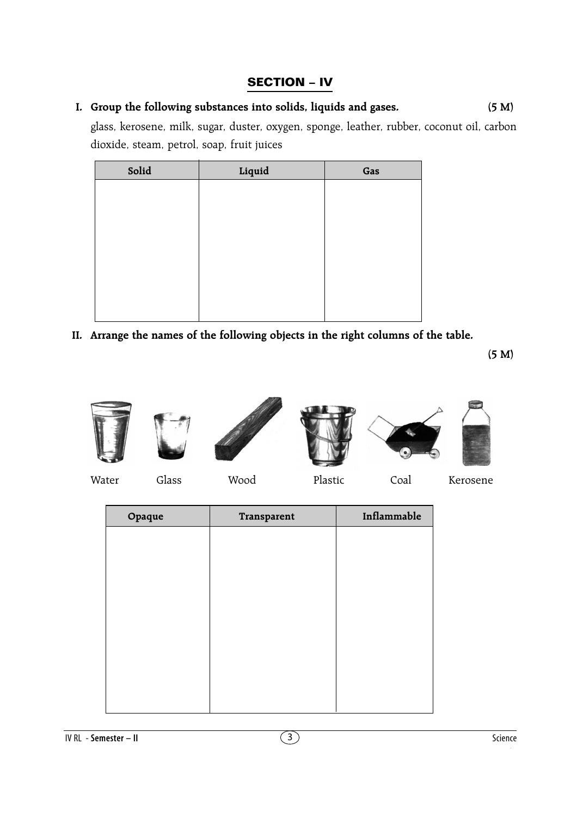## **SECTION – IV**

## **I. Group the following substances into solids, liquids and gases. (5 M)**

glass, kerosene, milk, sugar, duster, oxygen, sponge, leather, rubber, coconut oil, carbon dioxide, steam, petrol, soap, fruit juices

| Solid | Liquid | Gas |
|-------|--------|-----|
|       |        |     |
|       |        |     |
|       |        |     |
|       |        |     |
|       |        |     |
|       |        |     |
|       |        |     |
|       |        |     |

**II. Arrange the names of the following objects in the right columns of the table.**

**(5 M)**











Water Glass Wood Plastic Coal Kerosene

| Opaque | Transparent | Inflammable |
|--------|-------------|-------------|
|        |             |             |
|        |             |             |
|        |             |             |
|        |             |             |
|        |             |             |
|        |             |             |
|        |             |             |
|        |             |             |
|        |             |             |
|        |             |             |